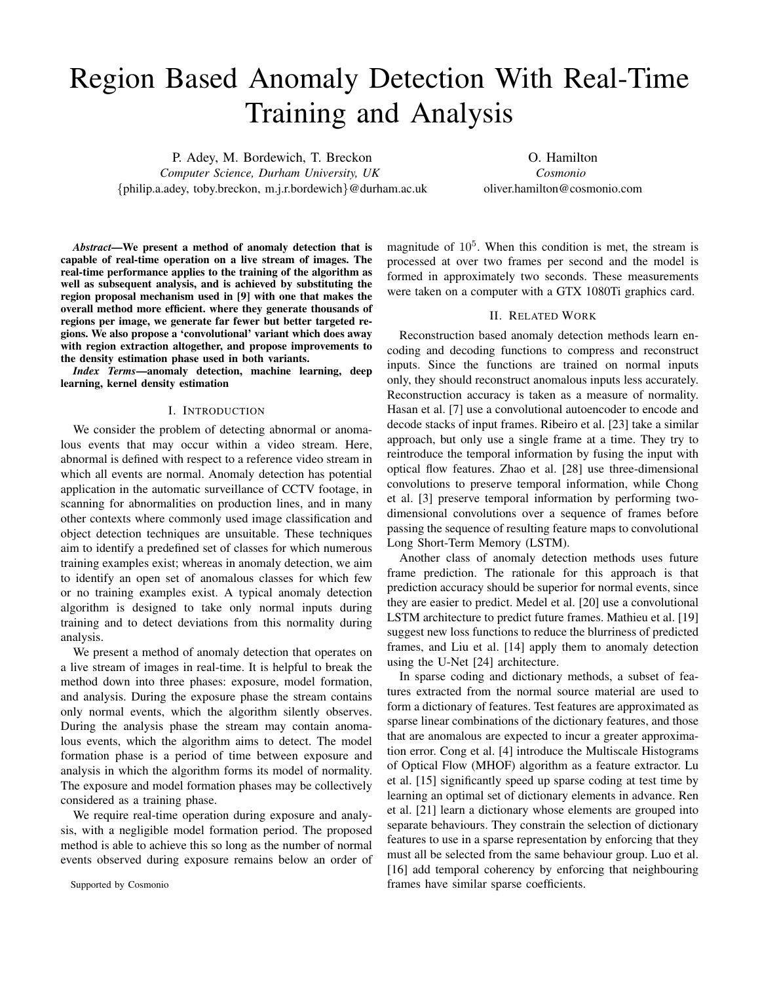# Region Based Anomaly Detection With Real-Time Training and Analysis

P. Adey, M. Bordewich, T. Breckon *Computer Science, Durham University, UK* {philip.a.adey, toby.breckon, m.j.r.bordewich}@durham.ac.uk

O. Hamilton *Cosmonio* oliver.hamilton@cosmonio.com

*Abstract*—We present a method of anomaly detection that is capable of real-time operation on a live stream of images. The real-time performance applies to the training of the algorithm as well as subsequent analysis, and is achieved by substituting the region proposal mechanism used in [9] with one that makes the overall method more efficient. where they generate thousands of regions per image, we generate far fewer but better targeted regions. We also propose a 'convolutional' variant which does away with region extraction altogether, and propose improvements to the density estimation phase used in both variants.

*Index Terms*—anomaly detection, machine learning, deep learning, kernel density estimation

#### I. INTRODUCTION

We consider the problem of detecting abnormal or anomalous events that may occur within a video stream. Here, abnormal is defined with respect to a reference video stream in which all events are normal. Anomaly detection has potential application in the automatic surveillance of CCTV footage, in scanning for abnormalities on production lines, and in many other contexts where commonly used image classification and object detection techniques are unsuitable. These techniques aim to identify a predefined set of classes for which numerous training examples exist; whereas in anomaly detection, we aim to identify an open set of anomalous classes for which few or no training examples exist. A typical anomaly detection algorithm is designed to take only normal inputs during training and to detect deviations from this normality during analysis.

We present a method of anomaly detection that operates on a live stream of images in real-time. It is helpful to break the method down into three phases: exposure, model formation, and analysis. During the exposure phase the stream contains only normal events, which the algorithm silently observes. During the analysis phase the stream may contain anomalous events, which the algorithm aims to detect. The model formation phase is a period of time between exposure and analysis in which the algorithm forms its model of normality. The exposure and model formation phases may be collectively considered as a training phase.

We require real-time operation during exposure and analysis, with a negligible model formation period. The proposed method is able to achieve this so long as the number of normal events observed during exposure remains below an order of magnitude of  $10<sup>5</sup>$ . When this condition is met, the stream is processed at over two frames per second and the model is formed in approximately two seconds. These measurements were taken on a computer with a GTX 1080Ti graphics card.

## II. RELATED WORK

Reconstruction based anomaly detection methods learn encoding and decoding functions to compress and reconstruct inputs. Since the functions are trained on normal inputs only, they should reconstruct anomalous inputs less accurately. Reconstruction accuracy is taken as a measure of normality. Hasan et al. [7] use a convolutional autoencoder to encode and decode stacks of input frames. Ribeiro et al. [23] take a similar approach, but only use a single frame at a time. They try to reintroduce the temporal information by fusing the input with optical flow features. Zhao et al. [28] use three-dimensional convolutions to preserve temporal information, while Chong et al. [3] preserve temporal information by performing twodimensional convolutions over a sequence of frames before passing the sequence of resulting feature maps to convolutional Long Short-Term Memory (LSTM).

Another class of anomaly detection methods uses future frame prediction. The rationale for this approach is that prediction accuracy should be superior for normal events, since they are easier to predict. Medel et al. [20] use a convolutional LSTM architecture to predict future frames. Mathieu et al. [19] suggest new loss functions to reduce the blurriness of predicted frames, and Liu et al. [14] apply them to anomaly detection using the U-Net [24] architecture.

In sparse coding and dictionary methods, a subset of features extracted from the normal source material are used to form a dictionary of features. Test features are approximated as sparse linear combinations of the dictionary features, and those that are anomalous are expected to incur a greater approximation error. Cong et al. [4] introduce the Multiscale Histograms of Optical Flow (MHOF) algorithm as a feature extractor. Lu et al. [15] significantly speed up sparse coding at test time by learning an optimal set of dictionary elements in advance. Ren et al. [21] learn a dictionary whose elements are grouped into separate behaviours. They constrain the selection of dictionary features to use in a sparse representation by enforcing that they must all be selected from the same behaviour group. Luo et al. [16] add temporal coherency by enforcing that neighbouring frames have similar sparse coefficients.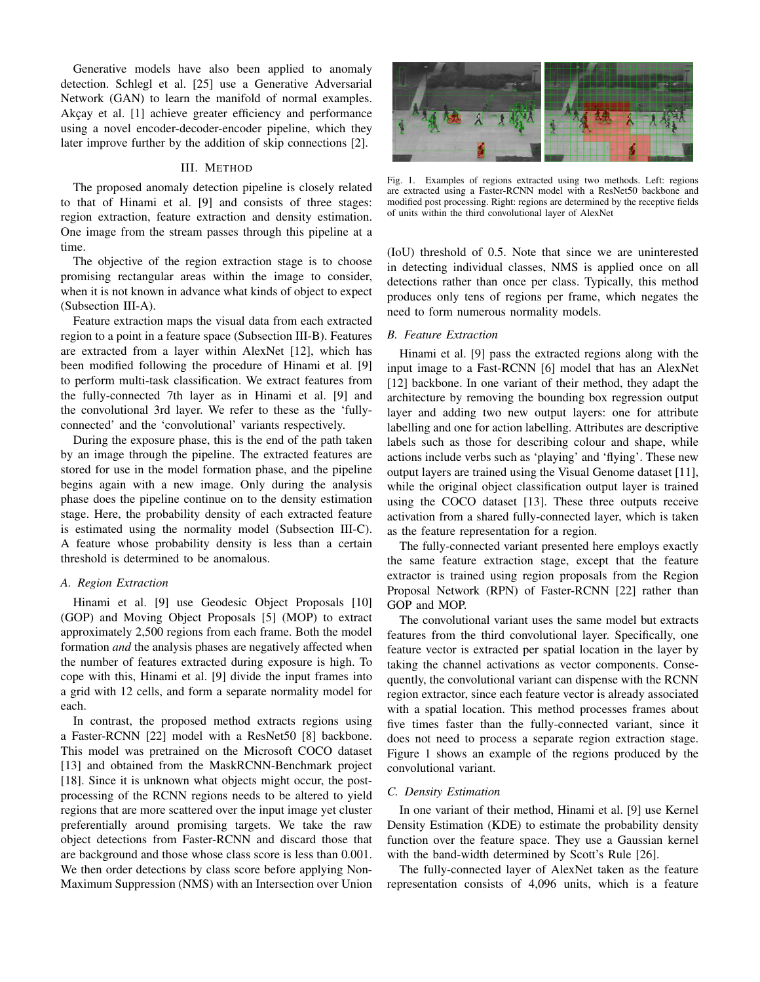Generative models have also been applied to anomaly detection. Schlegl et al. [25] use a Generative Adversarial Network (GAN) to learn the manifold of normal examples. Akçay et al. [1] achieve greater efficiency and performance using a novel encoder-decoder-encoder pipeline, which they later improve further by the addition of skip connections [2].

# III. METHOD

The proposed anomaly detection pipeline is closely related to that of Hinami et al. [9] and consists of three stages: region extraction, feature extraction and density estimation. One image from the stream passes through this pipeline at a time.

The objective of the region extraction stage is to choose promising rectangular areas within the image to consider, when it is not known in advance what kinds of object to expect (Subsection III-A).

Feature extraction maps the visual data from each extracted region to a point in a feature space (Subsection III-B). Features are extracted from a layer within AlexNet [12], which has been modified following the procedure of Hinami et al. [9] to perform multi-task classification. We extract features from the fully-connected 7th layer as in Hinami et al. [9] and the convolutional 3rd layer. We refer to these as the 'fullyconnected' and the 'convolutional' variants respectively.

During the exposure phase, this is the end of the path taken by an image through the pipeline. The extracted features are stored for use in the model formation phase, and the pipeline begins again with a new image. Only during the analysis phase does the pipeline continue on to the density estimation stage. Here, the probability density of each extracted feature is estimated using the normality model (Subsection III-C). A feature whose probability density is less than a certain threshold is determined to be anomalous.

#### *A. Region Extraction*

Hinami et al. [9] use Geodesic Object Proposals [10] (GOP) and Moving Object Proposals [5] (MOP) to extract approximately 2,500 regions from each frame. Both the model formation *and* the analysis phases are negatively affected when the number of features extracted during exposure is high. To cope with this, Hinami et al. [9] divide the input frames into a grid with 12 cells, and form a separate normality model for each.

In contrast, the proposed method extracts regions using a Faster-RCNN [22] model with a ResNet50 [8] backbone. This model was pretrained on the Microsoft COCO dataset [13] and obtained from the MaskRCNN-Benchmark project [18]. Since it is unknown what objects might occur, the postprocessing of the RCNN regions needs to be altered to yield regions that are more scattered over the input image yet cluster preferentially around promising targets. We take the raw object detections from Faster-RCNN and discard those that are background and those whose class score is less than 0.001. We then order detections by class score before applying Non-Maximum Suppression (NMS) with an Intersection over Union



Fig. 1. Examples of regions extracted using two methods. Left: regions are extracted using a Faster-RCNN model with a ResNet50 backbone and modified post processing. Right: regions are determined by the receptive fields of units within the third convolutional layer of AlexNet

(IoU) threshold of 0.5. Note that since we are uninterested in detecting individual classes, NMS is applied once on all detections rather than once per class. Typically, this method produces only tens of regions per frame, which negates the need to form numerous normality models.

# *B. Feature Extraction*

Hinami et al. [9] pass the extracted regions along with the input image to a Fast-RCNN [6] model that has an AlexNet [12] backbone. In one variant of their method, they adapt the architecture by removing the bounding box regression output layer and adding two new output layers: one for attribute labelling and one for action labelling. Attributes are descriptive labels such as those for describing colour and shape, while actions include verbs such as 'playing' and 'flying'. These new output layers are trained using the Visual Genome dataset [11], while the original object classification output layer is trained using the COCO dataset [13]. These three outputs receive activation from a shared fully-connected layer, which is taken as the feature representation for a region.

The fully-connected variant presented here employs exactly the same feature extraction stage, except that the feature extractor is trained using region proposals from the Region Proposal Network (RPN) of Faster-RCNN [22] rather than GOP and MOP.

The convolutional variant uses the same model but extracts features from the third convolutional layer. Specifically, one feature vector is extracted per spatial location in the layer by taking the channel activations as vector components. Consequently, the convolutional variant can dispense with the RCNN region extractor, since each feature vector is already associated with a spatial location. This method processes frames about five times faster than the fully-connected variant, since it does not need to process a separate region extraction stage. Figure 1 shows an example of the regions produced by the convolutional variant.

#### *C. Density Estimation*

In one variant of their method, Hinami et al. [9] use Kernel Density Estimation (KDE) to estimate the probability density function over the feature space. They use a Gaussian kernel with the band-width determined by Scott's Rule [26].

The fully-connected layer of AlexNet taken as the feature representation consists of 4,096 units, which is a feature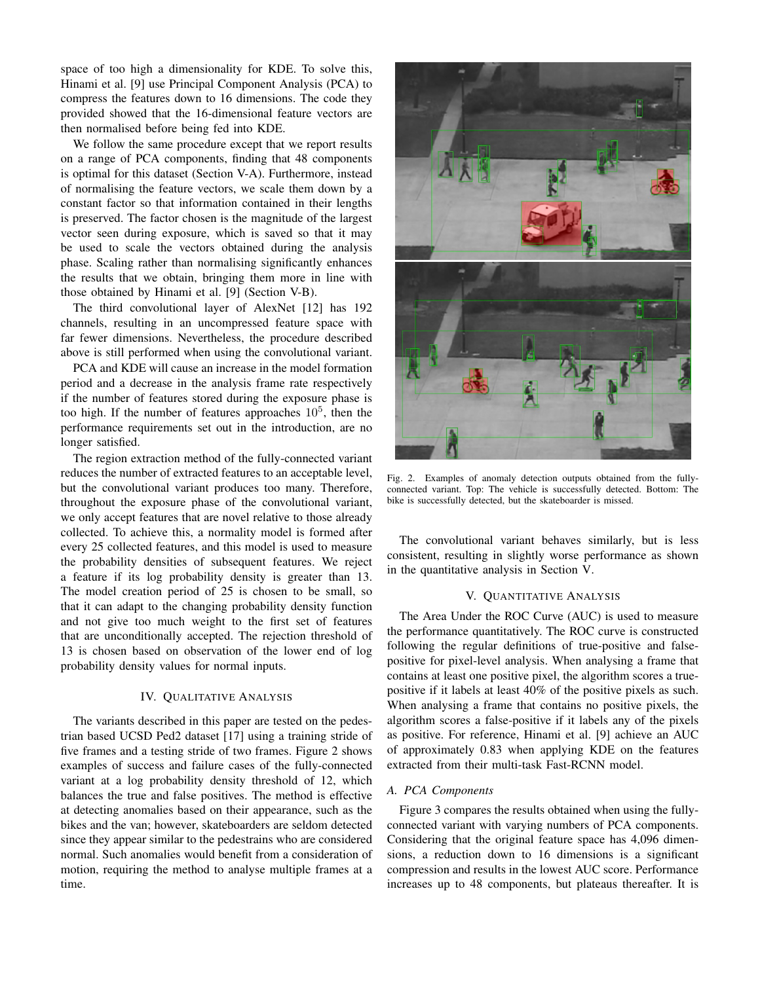space of too high a dimensionality for KDE. To solve this, Hinami et al. [9] use Principal Component Analysis (PCA) to compress the features down to 16 dimensions. The code they provided showed that the 16-dimensional feature vectors are then normalised before being fed into KDE.

We follow the same procedure except that we report results on a range of PCA components, finding that 48 components is optimal for this dataset (Section V-A). Furthermore, instead of normalising the feature vectors, we scale them down by a constant factor so that information contained in their lengths is preserved. The factor chosen is the magnitude of the largest vector seen during exposure, which is saved so that it may be used to scale the vectors obtained during the analysis phase. Scaling rather than normalising significantly enhances the results that we obtain, bringing them more in line with those obtained by Hinami et al. [9] (Section V-B).

The third convolutional layer of AlexNet [12] has 192 channels, resulting in an uncompressed feature space with far fewer dimensions. Nevertheless, the procedure described above is still performed when using the convolutional variant.

PCA and KDE will cause an increase in the model formation period and a decrease in the analysis frame rate respectively if the number of features stored during the exposure phase is too high. If the number of features approaches  $10<sup>5</sup>$ , then the performance requirements set out in the introduction, are no longer satisfied.

The region extraction method of the fully-connected variant reduces the number of extracted features to an acceptable level, but the convolutional variant produces too many. Therefore, throughout the exposure phase of the convolutional variant, we only accept features that are novel relative to those already collected. To achieve this, a normality model is formed after every 25 collected features, and this model is used to measure the probability densities of subsequent features. We reject a feature if its log probability density is greater than 13. The model creation period of 25 is chosen to be small, so that it can adapt to the changing probability density function and not give too much weight to the first set of features that are unconditionally accepted. The rejection threshold of 13 is chosen based on observation of the lower end of log probability density values for normal inputs.

# IV. QUALITATIVE ANALYSIS

The variants described in this paper are tested on the pedestrian based UCSD Ped2 dataset [17] using a training stride of five frames and a testing stride of two frames. Figure 2 shows examples of success and failure cases of the fully-connected variant at a log probability density threshold of 12, which balances the true and false positives. The method is effective at detecting anomalies based on their appearance, such as the bikes and the van; however, skateboarders are seldom detected since they appear similar to the pedestrains who are considered normal. Such anomalies would benefit from a consideration of motion, requiring the method to analyse multiple frames at a time.



Fig. 2. Examples of anomaly detection outputs obtained from the fullyconnected variant. Top: The vehicle is successfully detected. Bottom: The bike is successfully detected, but the skateboarder is missed.

The convolutional variant behaves similarly, but is less consistent, resulting in slightly worse performance as shown in the quantitative analysis in Section V.

#### V. QUANTITATIVE ANALYSIS

The Area Under the ROC Curve (AUC) is used to measure the performance quantitatively. The ROC curve is constructed following the regular definitions of true-positive and falsepositive for pixel-level analysis. When analysing a frame that contains at least one positive pixel, the algorithm scores a truepositive if it labels at least 40% of the positive pixels as such. When analysing a frame that contains no positive pixels, the algorithm scores a false-positive if it labels any of the pixels as positive. For reference, Hinami et al. [9] achieve an AUC of approximately 0.83 when applying KDE on the features extracted from their multi-task Fast-RCNN model.

# *A. PCA Components*

Figure 3 compares the results obtained when using the fullyconnected variant with varying numbers of PCA components. Considering that the original feature space has 4,096 dimensions, a reduction down to 16 dimensions is a significant compression and results in the lowest AUC score. Performance increases up to 48 components, but plateaus thereafter. It is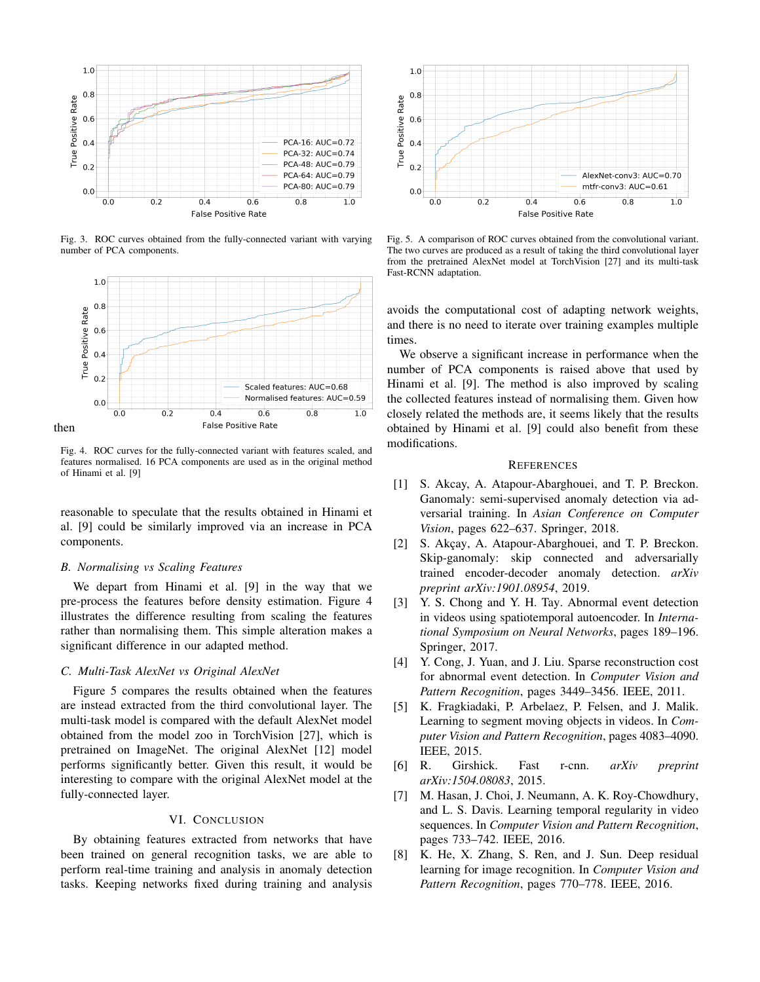

Fig. 3. ROC curves obtained from the fully-connected variant with varying number of PCA components.



Fig. 4. ROC curves for the fully-connected variant with features scaled, and features normalised. 16 PCA components are used as in the original method of Hinami et al. [9]

reasonable to speculate that the results obtained in Hinami et al. [9] could be similarly improved via an increase in PCA components.

## *B. Normalising vs Scaling Features*

We depart from Hinami et al. [9] in the way that we pre-process the features before density estimation. Figure 4 illustrates the difference resulting from scaling the features rather than normalising them. This simple alteration makes a significant difference in our adapted method.

## *C. Multi-Task AlexNet vs Original AlexNet*

Figure 5 compares the results obtained when the features are instead extracted from the third convolutional layer. The multi-task model is compared with the default AlexNet model obtained from the model zoo in TorchVision [27], which is pretrained on ImageNet. The original AlexNet [12] model performs significantly better. Given this result, it would be interesting to compare with the original AlexNet model at the fully-connected layer.

## VI. CONCLUSION

By obtaining features extracted from networks that have been trained on general recognition tasks, we are able to perform real-time training and analysis in anomaly detection tasks. Keeping networks fixed during training and analysis



Fig. 5. A comparison of ROC curves obtained from the convolutional variant. The two curves are produced as a result of taking the third convolutional layer from the pretrained AlexNet model at TorchVision [27] and its multi-task Fast-RCNN adaptation.

avoids the computational cost of adapting network weights, and there is no need to iterate over training examples multiple times.

We observe a significant increase in performance when the number of PCA components is raised above that used by Hinami et al. [9]. The method is also improved by scaling the collected features instead of normalising them. Given how closely related the methods are, it seems likely that the results obtained by Hinami et al. [9] could also benefit from these modifications.

#### **REFERENCES**

- [1] S. Akcay, A. Atapour-Abarghouei, and T. P. Breckon. Ganomaly: semi-supervised anomaly detection via adversarial training. In *Asian Conference on Computer Vision*, pages 622–637. Springer, 2018.
- [2] S. Akçay, A. Atapour-Abarghouei, and T. P. Breckon. Skip-ganomaly: skip connected and adversarially trained encoder-decoder anomaly detection. *arXiv preprint arXiv:1901.08954*, 2019.
- [3] Y. S. Chong and Y. H. Tay. Abnormal event detection in videos using spatiotemporal autoencoder. In *International Symposium on Neural Networks*, pages 189–196. Springer, 2017.
- [4] Y. Cong, J. Yuan, and J. Liu. Sparse reconstruction cost for abnormal event detection. In *Computer Vision and Pattern Recognition*, pages 3449–3456. IEEE, 2011.
- [5] K. Fragkiadaki, P. Arbelaez, P. Felsen, and J. Malik. Learning to segment moving objects in videos. In *Computer Vision and Pattern Recognition*, pages 4083–4090. IEEE, 2015.
- [6] R. Girshick. Fast r-cnn. *arXiv preprint arXiv:1504.08083*, 2015.
- [7] M. Hasan, J. Choi, J. Neumann, A. K. Roy-Chowdhury, and L. S. Davis. Learning temporal regularity in video sequences. In *Computer Vision and Pattern Recognition*, pages 733–742. IEEE, 2016.
- [8] K. He, X. Zhang, S. Ren, and J. Sun. Deep residual learning for image recognition. In *Computer Vision and Pattern Recognition*, pages 770–778. IEEE, 2016.